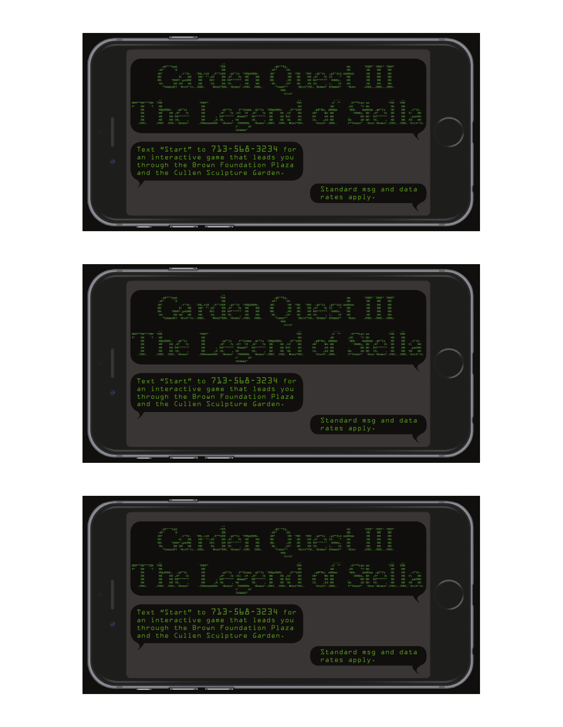